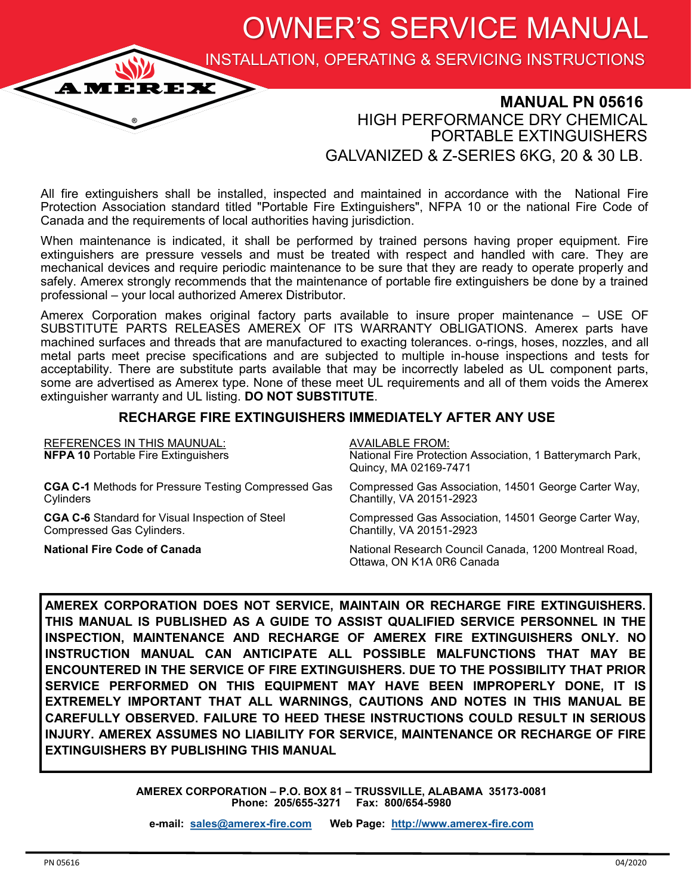OWNER'S SERVICE MANUAL

INSTALLATION, OPERATING & SERVICING INSTRUCTIONS

## **MANUAL PN 05616** HIGH PERFORMANCE DRY CHEMICAL PORTABLE EXTINGUISHERS GALVANIZED & Z-SERIES 6KG, 20 & 30 LB.

All fire extinguishers shall be installed, inspected and maintained in accordance with the National Fire Protection Association standard titled "Portable Fire Extinguishers", NFPA 10 or the national Fire Code of Canada and the requirements of local authorities having jurisdiction.

When maintenance is indicated, it shall be performed by trained persons having proper equipment. Fire extinguishers are pressure vessels and must be treated with respect and handled with care. They are mechanical devices and require periodic maintenance to be sure that they are ready to operate properly and safely. Amerex strongly recommends that the maintenance of portable fire extinguishers be done by a trained professional – your local authorized Amerex Distributor.

Amerex Corporation makes original factory parts available to insure proper maintenance – USE OF SUBSTITUTE PARTS RELEASES AMEREX OF ITS WARRANTY OBLIGATIONS. Amerex parts have machined surfaces and threads that are manufactured to exacting tolerances. o-rings, hoses, nozzles, and all metal parts meet precise specifications and are subjected to multiple in-house inspections and tests for acceptability. There are substitute parts available that may be incorrectly labeled as UL component parts, some are advertised as Amerex type. None of these meet UL requirements and all of them voids the Amerex extinguisher warranty and UL listing. **DO NOT SUBSTITUTE**.

#### **RECHARGE FIRE EXTINGUISHERS IMMEDIATELY AFTER ANY USE**

| <b>REFERENCES IN THIS MAUNUAL:</b><br><b>NFPA 10 Portable Fire Extinguishers</b> | <b>AVAILABLE FROM:</b><br>National Fire Protection Association, 1 Batterymarch Park,<br>Quincy, MA 02169-7471 |
|----------------------------------------------------------------------------------|---------------------------------------------------------------------------------------------------------------|
| <b>CGA C-1</b> Methods for Pressure Testing Compressed Gas                       | Compressed Gas Association, 14501 George Carter Way,                                                          |
| Cylinders                                                                        | Chantilly, VA 20151-2923                                                                                      |
| <b>CGA C-6</b> Standard for Visual Inspection of Steel                           | Compressed Gas Association, 14501 George Carter Way,                                                          |
| Compressed Gas Cylinders.                                                        | Chantilly, VA 20151-2923                                                                                      |
| <b>National Fire Code of Canada</b>                                              | National Research Council Canada, 1200 Montreal Road,<br>Ottawa, ON K1A 0R6 Canada                            |

**AMEREX CORPORATION DOES NOT SERVICE, MAINTAIN OR RECHARGE FIRE EXTINGUISHERS. THIS MANUAL IS PUBLISHED AS A GUIDE TO ASSIST QUALIFIED SERVICE PERSONNEL IN THE INSPECTION, MAINTENANCE AND RECHARGE OF AMEREX FIRE EXTINGUISHERS ONLY. NO INSTRUCTION MANUAL CAN ANTICIPATE ALL POSSIBLE MALFUNCTIONS THAT MAY BE ENCOUNTERED IN THE SERVICE OF FIRE EXTINGUISHERS. DUE TO THE POSSIBILITY THAT PRIOR SERVICE PERFORMED ON THIS EQUIPMENT MAY HAVE BEEN IMPROPERLY DONE, IT IS EXTREMELY IMPORTANT THAT ALL WARNINGS, CAUTIONS AND NOTES IN THIS MANUAL BE CAREFULLY OBSERVED. FAILURE TO HEED THESE INSTRUCTIONS COULD RESULT IN SERIOUS INJURY. AMEREX ASSUMES NO LIABILITY FOR SERVICE, MAINTENANCE OR RECHARGE OF FIRE EXTINGUISHERS BY PUBLISHING THIS MANUAL** 

> **AMEREX CORPORATION – P.O. BOX 81 – TRUSSVILLE, ALABAMA 35173-0081 Phone: 205/655-3271 Fax: 800/654-5980**

**e-mail: [sales@amerex](mailto:sales@amerex-fire.com)-fire.com Web Page: [http://www.amerex](http://www.amerex-fire.com)-fire.com**

**AME** 

REX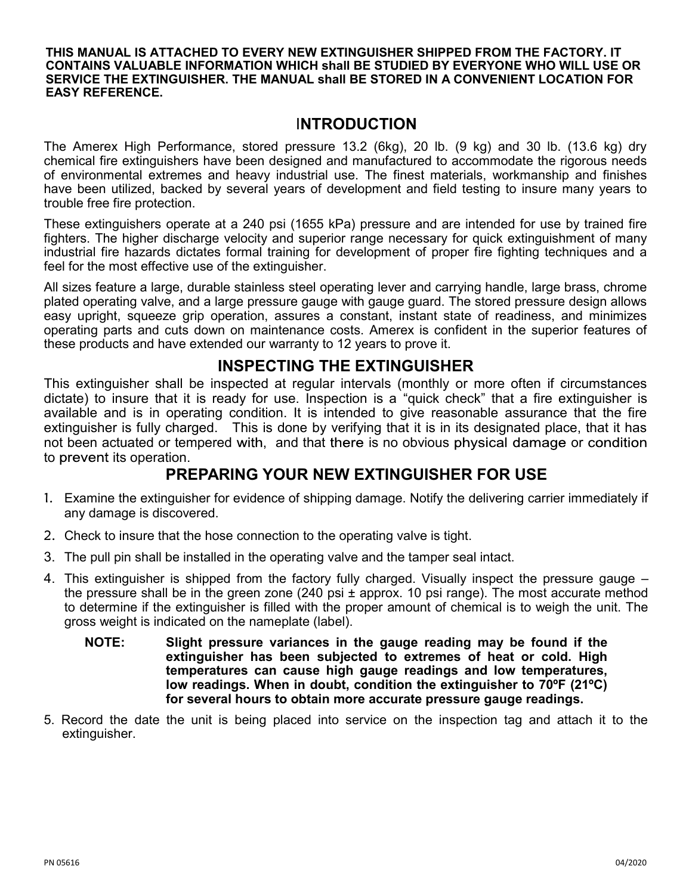#### **THIS MANUAL IS ATTACHED TO EVERY NEW EXTINGUISHER SHIPPED FROM THE FACTORY. IT CONTAINS VALUABLE INFORMATION WHICH shall BE STUDIED BY EVERYONE WHO WILL USE OR SERVICE THE EXTINGUISHER. THE MANUAL shall BE STORED IN A CONVENIENT LOCATION FOR EASY REFERENCE.**

#### I**NTRODUCTION**

The Amerex High Performance, stored pressure 13.2 (6kg), 20 lb. (9 kg) and 30 lb. (13.6 kg) dry chemical fire extinguishers have been designed and manufactured to accommodate the rigorous needs of environmental extremes and heavy industrial use. The finest materials, workmanship and finishes have been utilized, backed by several years of development and field testing to insure many years to trouble free fire protection.

These extinguishers operate at a 240 psi (1655 kPa) pressure and are intended for use by trained fire fighters. The higher discharge velocity and superior range necessary for quick extinguishment of many industrial fire hazards dictates formal training for development of proper fire fighting techniques and a feel for the most effective use of the extinguisher.

All sizes feature a large, durable stainless steel operating lever and carrying handle, large brass, chrome plated operating valve, and a large pressure gauge with gauge guard. The stored pressure design allows easy upright, squeeze grip operation, assures a constant, instant state of readiness, and minimizes operating parts and cuts down on maintenance costs. Amerex is confident in the superior features of these products and have extended our warranty to 12 years to prove it.

### **INSPECTING THE EXTINGUISHER**

This extinguisher shall be inspected at regular intervals (monthly or more often if circumstances dictate) to insure that it is ready for use. Inspection is a "quick check" that a fire extinguisher is available and is in operating condition. It is intended to give reasonable assurance that the fire extinguisher is fully charged. This is done by verifying that it is in its designated place, that it has not been actuated or tempered with, and that there is no obvious physical damage or condition to prevent its operation.

# **PREPARING YOUR NEW EXTINGUISHER FOR USE**

- 1. Examine the extinguisher for evidence of shipping damage. Notify the delivering carrier immediately if any damage is discovered.
- 2. Check to insure that the hose connection to the operating valve is tight.
- 3. The pull pin shall be installed in the operating valve and the tamper seal intact.
- 4. This extinguisher is shipped from the factory fully charged. Visually inspect the pressure gauge the pressure shall be in the green zone (240 psi  $\pm$  approx. 10 psi range). The most accurate method to determine if the extinguisher is filled with the proper amount of chemical is to weigh the unit. The gross weight is indicated on the nameplate (label).
	- **NOTE: Slight pressure variances in the gauge reading may be found if the extinguisher has been subjected to extremes of heat or cold. High temperatures can cause high gauge readings and low temperatures, low readings. When in doubt, condition the extinguisher to 70ºF (21ºC) for several hours to obtain more accurate pressure gauge readings.**
- 5. Record the date the unit is being placed into service on the inspection tag and attach it to the extinguisher.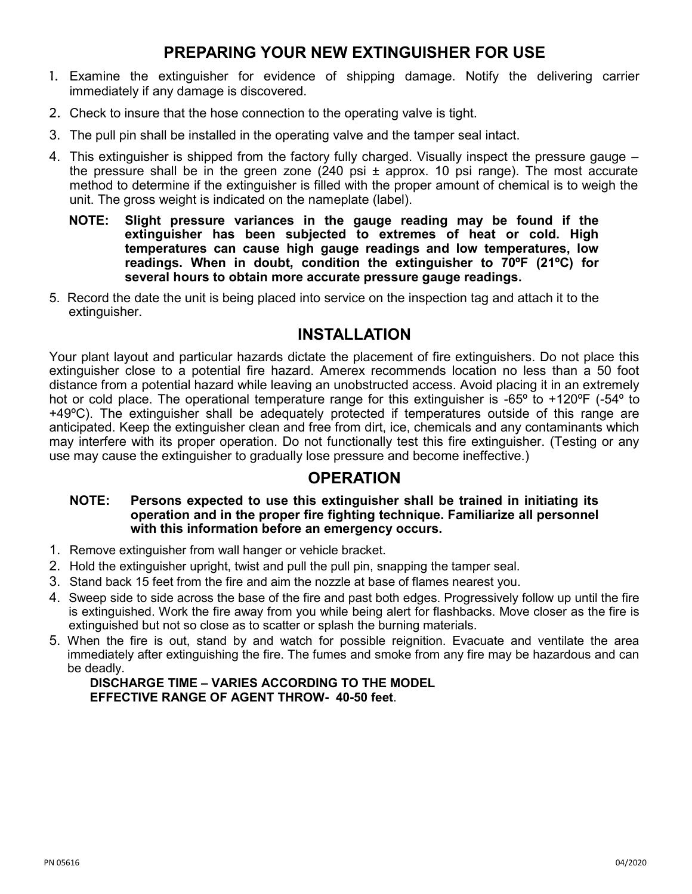# **PREPARING YOUR NEW EXTINGUISHER FOR USE**

- 1. Examine the extinguisher for evidence of shipping damage. Notify the delivering carrier immediately if any damage is discovered.
- 2. Check to insure that the hose connection to the operating valve is tight.
- 3. The pull pin shall be installed in the operating valve and the tamper seal intact.
- 4. This extinguisher is shipped from the factory fully charged. Visually inspect the pressure gauge the pressure shall be in the green zone  $(240 \text{ psi} \pm \text{approx} 10 \text{ psi} \cdot \text{range})$ . The most accurate method to determine if the extinguisher is filled with the proper amount of chemical is to weigh the unit. The gross weight is indicated on the nameplate (label).
	- **NOTE: Slight pressure variances in the gauge reading may be found if the extinguisher has been subjected to extremes of heat or cold. High temperatures can cause high gauge readings and low temperatures, low readings. When in doubt, condition the extinguisher to 70ºF (21ºC) for several hours to obtain more accurate pressure gauge readings.**
- 5. Record the date the unit is being placed into service on the inspection tag and attach it to the extinguisher.

## **INSTALLATION**

Your plant layout and particular hazards dictate the placement of fire extinguishers. Do not place this extinguisher close to a potential fire hazard. Amerex recommends location no less than a 50 foot distance from a potential hazard while leaving an unobstructed access. Avoid placing it in an extremely hot or cold place. The operational temperature range for this extinguisher is -65° to +120°F (-54° to +49ºC). The extinguisher shall be adequately protected if temperatures outside of this range are anticipated. Keep the extinguisher clean and free from dirt, ice, chemicals and any contaminants which may interfere with its proper operation. Do not functionally test this fire extinguisher. (Testing or any use may cause the extinguisher to gradually lose pressure and become ineffective.)

## **OPERATION**

#### **NOTE: Persons expected to use this extinguisher shall be trained in initiating its operation and in the proper fire fighting technique. Familiarize all personnel with this information before an emergency occurs.**

- 1. Remove extinguisher from wall hanger or vehicle bracket.
- 2. Hold the extinguisher upright, twist and pull the pull pin, snapping the tamper seal.
- 3. Stand back 15 feet from the fire and aim the nozzle at base of flames nearest you.
- 4. Sweep side to side across the base of the fire and past both edges. Progressively follow up until the fire is extinguished. Work the fire away from you while being alert for flashbacks. Move closer as the fire is extinguished but not so close as to scatter or splash the burning materials.
- 5. When the fire is out, stand by and watch for possible reignition. Evacuate and ventilate the area immediately after extinguishing the fire. The fumes and smoke from any fire may be hazardous and can be deadly.

#### **DISCHARGE TIME – VARIES ACCORDING TO THE MODEL EFFECTIVE RANGE OF AGENT THROW- 40-50 feet**.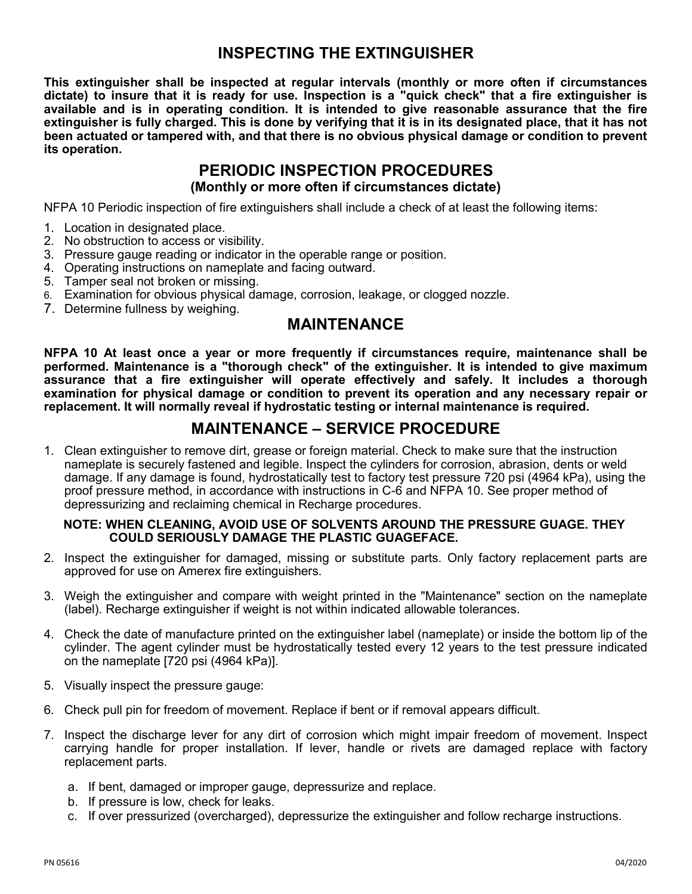## **INSPECTING THE EXTINGUISHER**

**This extinguisher shall be inspected at regular intervals (monthly or more often if circumstances dictate) to insure that it is ready for use. Inspection is a "quick check" that a fire extinguisher is available and is in operating condition. It is intended to give reasonable assurance that the fire extinguisher is fully charged. This is done by verifying that it is in its designated place, that it has not been actuated or tampered with, and that there is no obvious physical damage or condition to prevent its operation.**

# **PERIODIC INSPECTION PROCEDURES**

**(Monthly or more often if circumstances dictate)**

NFPA 10 Periodic inspection of fire extinguishers shall include a check of at least the following items:

- 1. Location in designated place.
- 2. No obstruction to access or visibility.
- 3. Pressure gauge reading or indicator in the operable range or position.
- 4. Operating instructions on nameplate and facing outward.
- 5. Tamper seal not broken or missing.
- 6. Examination for obvious physical damage, corrosion, leakage, or clogged nozzle.
- 7. Determine fullness by weighing.

### **MAINTENANCE**

**NFPA 10 At least once a year or more frequently if circumstances require, maintenance shall be performed. Maintenance is a "thorough check" of the extinguisher. It is intended to give maximum assurance that a fire extinguisher will operate effectively and safely. It includes a thorough examination for physical damage or condition to prevent its operation and any necessary repair or replacement. It will normally reveal if hydrostatic testing or internal maintenance is required.**

# **MAINTENANCE – SERVICE PROCEDURE**

1. Clean extinguisher to remove dirt, grease or foreign material. Check to make sure that the instruction nameplate is securely fastened and legible. Inspect the cylinders for corrosion, abrasion, dents or weld damage. If any damage is found, hydrostatically test to factory test pressure 720 psi (4964 kPa), using the proof pressure method, in accordance with instructions in C-6 and NFPA 10. See proper method of depressurizing and reclaiming chemical in Recharge procedures.

#### **NOTE: WHEN CLEANING, AVOID USE OF SOLVENTS AROUND THE PRESSURE GUAGE. THEY COULD SERIOUSLY DAMAGE THE PLASTIC GUAGEFACE.**

- 2. Inspect the extinguisher for damaged, missing or substitute parts. Only factory replacement parts are approved for use on Amerex fire extinguishers.
- 3. Weigh the extinguisher and compare with weight printed in the "Maintenance" section on the nameplate (label). Recharge extinguisher if weight is not within indicated allowable tolerances.
- 4. Check the date of manufacture printed on the extinguisher label (nameplate) or inside the bottom lip of the cylinder. The agent cylinder must be hydrostatically tested every 12 years to the test pressure indicated on the nameplate [720 psi (4964 kPa)].
- 5. Visually inspect the pressure gauge:
- 6. Check pull pin for freedom of movement. Replace if bent or if removal appears difficult.
- 7. Inspect the discharge lever for any dirt of corrosion which might impair freedom of movement. Inspect carrying handle for proper installation. If lever, handle or rivets are damaged replace with factory replacement parts.
	- a. If bent, damaged or improper gauge, depressurize and replace.
	- b. If pressure is low, check for leaks.
	- c. If over pressurized (overcharged), depressurize the extinguisher and follow recharge instructions.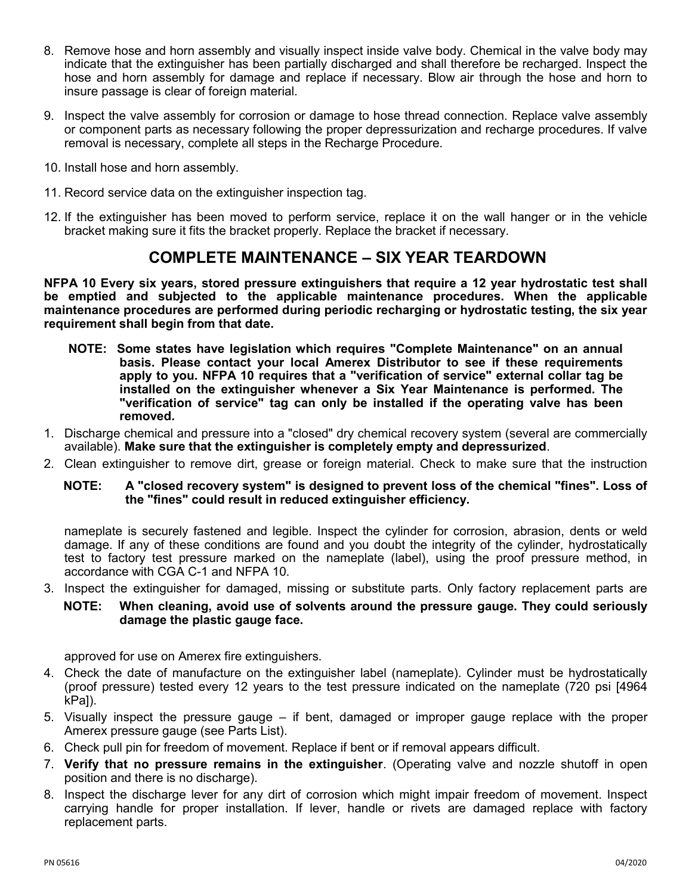- 8. Remove hose and horn assembly and visually inspect inside valve body. Chemical in the valve body may indicate that the extinguisher has been partially discharged and shall therefore be recharged. Inspect the hose and horn assembly for damage and replace if necessary. Blow air through the hose and horn to insure passage is clear of foreign material.
- 9. Inspect the valve assembly for corrosion or damage to hose thread connection. Replace valve assembly or component parts as necessary following the proper depressurization and recharge procedures. If valve removal is necessary, complete all steps in the Recharge Procedure.
- 10. Install hose and horn assembly.
- 11. Record service data on the extinguisher inspection tag.
- 12. If the extinguisher has been moved to perform service, replace it on the wall hanger or in the vehicle bracket making sure it fits the bracket properly. Replace the bracket if necessary.

### **COMPLETE MAINTENANCE – SIX YEAR TEARDOWN**

**NFPA 10 Every six years, stored pressure extinguishers that require a 12 year hydrostatic test shall be emptied and subjected to the applicable maintenance procedures. When the applicable maintenance procedures are performed during periodic recharging or hydrostatic testing, the six year requirement shall begin from that date.**

- **NOTE: Some states have legislation which requires "Complete Maintenance" on an annual basis. Please contact your local Amerex Distributor to see if these requirements apply to you. NFPA 10 requires that a "verification of service" external collar tag be installed on the extinguisher whenever a Six Year Maintenance is performed. The "verification of service" tag can only be installed if the operating valve has been removed.**
- 1. Discharge chemical and pressure into a "closed" dry chemical recovery system (several are commercially available). **Make sure that the extinguisher is completely empty and depressurized**.
- 2. Clean extinguisher to remove dirt, grease or foreign material. Check to make sure that the instruction

#### **NOTE: A "closed recovery system" is designed to prevent loss of the chemical "fines". Loss of the "fines" could result in reduced extinguisher efficiency.**

nameplate is securely fastened and legible. Inspect the cylinder for corrosion, abrasion, dents or weld damage. If any of these conditions are found and you doubt the integrity of the cylinder, hydrostatically test to factory test pressure marked on the nameplate (label), using the proof pressure method, in accordance with CGA C-1 and NFPA 10.

3. Inspect the extinguisher for damaged, missing or substitute parts. Only factory replacement parts are

#### **NOTE: When cleaning, avoid use of solvents around the pressure gauge. They could seriously damage the plastic gauge face.**

approved for use on Amerex fire extinguishers.

- 4. Check the date of manufacture on the extinguisher label (nameplate). Cylinder must be hydrostatically (proof pressure) tested every 12 years to the test pressure indicated on the nameplate (720 psi [4964 kPal).
- 5. Visually inspect the pressure gauge if bent, damaged or improper gauge replace with the proper Amerex pressure gauge (see Parts List).
- 6. Check pull pin for freedom of movement. Replace if bent or if removal appears difficult.
- 7. **Verify that no pressure remains in the extinguisher**. (Operating valve and nozzle shutoff in open position and there is no discharge).
- 8. Inspect the discharge lever for any dirt of corrosion which might impair freedom of movement. Inspect carrying handle for proper installation. If lever, handle or rivets are damaged replace with factory replacement parts.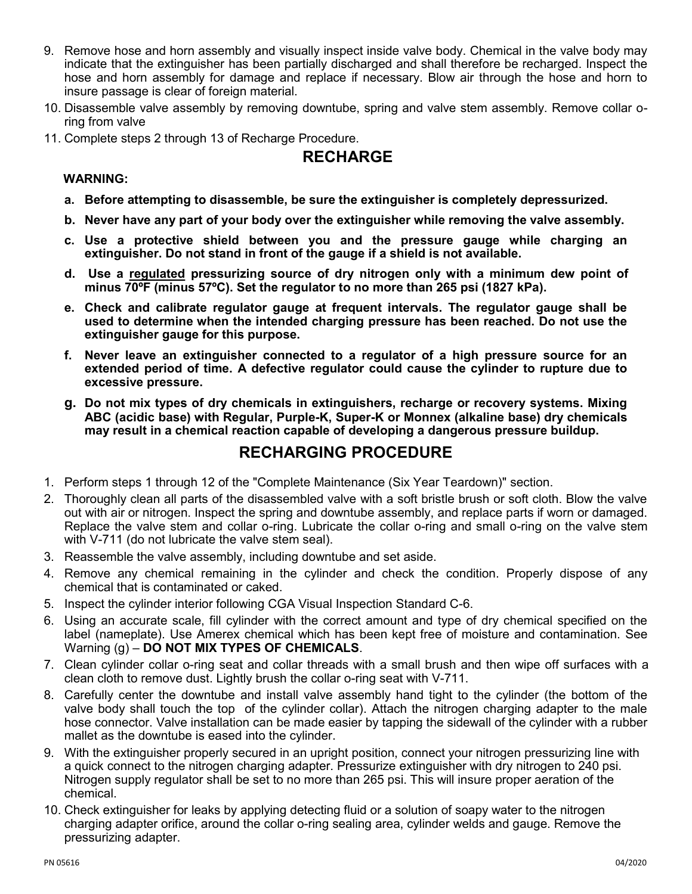- 9. Remove hose and horn assembly and visually inspect inside valve body. Chemical in the valve body may indicate that the extinguisher has been partially discharged and shall therefore be recharged. Inspect the hose and horn assembly for damage and replace if necessary. Blow air through the hose and horn to insure passage is clear of foreign material.
- 10. Disassemble valve assembly by removing downtube, spring and valve stem assembly. Remove collar oring from valve
- 11. Complete steps 2 through 13 of Recharge Procedure.

# **RECHARGE**

#### **WARNING:**

- **a. Before attempting to disassemble, be sure the extinguisher is completely depressurized.**
- **b. Never have any part of your body over the extinguisher while removing the valve assembly.**
- **c. Use a protective shield between you and the pressure gauge while charging an extinguisher. Do not stand in front of the gauge if a shield is not available.**
- **d. Use a regulated pressurizing source of dry nitrogen only with a minimum dew point of minus 70ºF (minus 57ºC). Set the regulator to no more than 265 psi (1827 kPa).**
- **e. Check and calibrate regulator gauge at frequent intervals. The regulator gauge shall be used to determine when the intended charging pressure has been reached. Do not use the extinguisher gauge for this purpose.**
- **f. Never leave an extinguisher connected to a regulator of a high pressure source for an extended period of time. A defective regulator could cause the cylinder to rupture due to excessive pressure.**
- **g. Do not mix types of dry chemicals in extinguishers, recharge or recovery systems. Mixing ABC (acidic base) with Regular, Purple-K, Super-K or Monnex (alkaline base) dry chemicals may result in a chemical reaction capable of developing a dangerous pressure buildup.**

## **RECHARGING PROCEDURE**

- 1. Perform steps 1 through 12 of the "Complete Maintenance (Six Year Teardown)" section.
- 2. Thoroughly clean all parts of the disassembled valve with a soft bristle brush or soft cloth. Blow the valve out with air or nitrogen. Inspect the spring and downtube assembly, and replace parts if worn or damaged. Replace the valve stem and collar o-ring. Lubricate the collar o-ring and small o-ring on the valve stem with V-711 (do not lubricate the valve stem seal).
- 3. Reassemble the valve assembly, including downtube and set aside.
- 4. Remove any chemical remaining in the cylinder and check the condition. Properly dispose of any chemical that is contaminated or caked.
- 5. Inspect the cylinder interior following CGA Visual Inspection Standard C-6.
- 6. Using an accurate scale, fill cylinder with the correct amount and type of dry chemical specified on the label (nameplate). Use Amerex chemical which has been kept free of moisture and contamination. See Warning (g) – **DO NOT MIX TYPES OF CHEMICALS**.
- 7. Clean cylinder collar o-ring seat and collar threads with a small brush and then wipe off surfaces with a clean cloth to remove dust. Lightly brush the collar o-ring seat with V-711.
- 8. Carefully center the downtube and install valve assembly hand tight to the cylinder (the bottom of the valve body shall touch the top of the cylinder collar). Attach the nitrogen charging adapter to the male hose connector. Valve installation can be made easier by tapping the sidewall of the cylinder with a rubber mallet as the downtube is eased into the cylinder.
- 9. With the extinguisher properly secured in an upright position, connect your nitrogen pressurizing line with a quick connect to the nitrogen charging adapter. Pressurize extinguisher with dry nitrogen to 240 psi. Nitrogen supply regulator shall be set to no more than 265 psi. This will insure proper aeration of the chemical.
- 10. Check extinguisher for leaks by applying detecting fluid or a solution of soapy water to the nitrogen charging adapter orifice, around the collar o-ring sealing area, cylinder welds and gauge. Remove the pressurizing adapter.